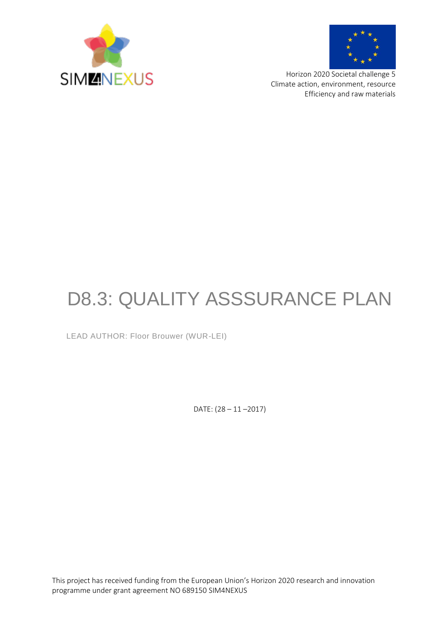



Horizon 2020 Societal challenge 5 Climate action, environment, resource Efficiency and raw materials

# D8.3: QUALITY ASSSURANCE PLAN

LEAD AUTHOR: Floor Brouwer (WUR-LEI)

DATE: (28 – 11 –2017)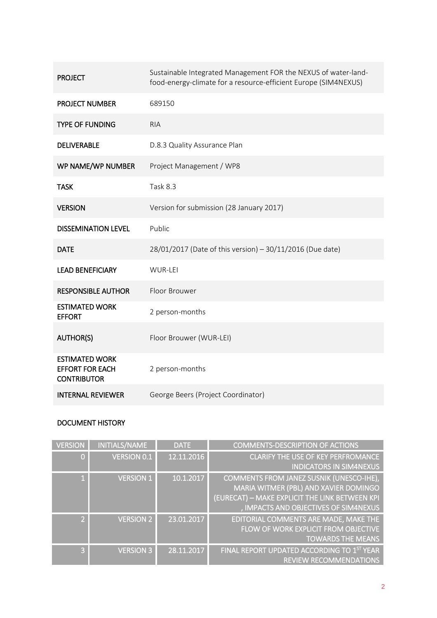| <b>PROJECT</b>                                                        | Sustainable Integrated Management FOR the NEXUS of water-land-<br>food-energy-climate for a resource-efficient Europe (SIM4NEXUS) |
|-----------------------------------------------------------------------|-----------------------------------------------------------------------------------------------------------------------------------|
| <b>PROJECT NUMBER</b>                                                 | 689150                                                                                                                            |
| <b>TYPE OF FUNDING</b>                                                | <b>RIA</b>                                                                                                                        |
| <b>DELIVERABLE</b>                                                    | D.8.3 Quality Assurance Plan                                                                                                      |
| WP NAME/WP NUMBER                                                     | Project Management / WP8                                                                                                          |
| <b>TASK</b>                                                           | Task 8.3                                                                                                                          |
| <b>VERSION</b>                                                        | Version for submission (28 January 2017)                                                                                          |
| <b>DISSEMINATION LEVEL</b>                                            | Public                                                                                                                            |
| <b>DATE</b>                                                           | 28/01/2017 (Date of this version) - 30/11/2016 (Due date)                                                                         |
| <b>LEAD BENEFICIARY</b>                                               | WUR-LEI                                                                                                                           |
| <b>RESPONSIBLE AUTHOR</b>                                             | Floor Brouwer                                                                                                                     |
| <b>ESTIMATED WORK</b><br><b>EFFORT</b>                                | 2 person-months                                                                                                                   |
| <b>AUTHOR(S)</b>                                                      | Floor Brouwer (WUR-LEI)                                                                                                           |
| <b>ESTIMATED WORK</b><br><b>EFFORT FOR EACH</b><br><b>CONTRIBUTOR</b> | 2 person-months                                                                                                                   |
| <b>INTERNAL REVIEWER</b>                                              | George Beers (Project Coordinator)                                                                                                |

### DOCUMENT HISTORY

| <b>VERSION</b> | <b>INITIALS/NAME</b> | <b>DATE</b> | <b>COMMENTS-DESCRIPTION OF ACTIONS</b>                                      |
|----------------|----------------------|-------------|-----------------------------------------------------------------------------|
| $\Omega$       | <b>VERSION 0.1</b>   | 12.11.2016  | <b>CLARIFY THE USE OF KEY PERFROMANCE</b><br><b>INDICATORS IN SIM4NEXUS</b> |
|                | <b>VERSION 1</b>     | 10.1.2017   | COMMENTS FROM JANEZ SUSNIK (UNESCO-IHE),                                    |
|                |                      |             | MARIA WITMER (PBL) AND XAVIER DOMINGO                                       |
|                |                      |             | (EURECAT) - MAKE EXPLICIT THE LINK BETWEEN KPI                              |
|                |                      |             | , IMPACTS AND OBJECTIVES OF SIM4NEXUS                                       |
| $\overline{2}$ | <b>VERSION 2</b>     | 23.01.2017  | EDITORIAL COMMENTS ARE MADE, MAKE THE                                       |
|                |                      |             | FLOW OF WORK EXPLICIT FROM OBJECTIVE                                        |
|                |                      |             | <b>TOWARDS THE MEANS</b>                                                    |
| $\mathbf{B}$   | <b>VERSION 3</b>     | 28.11.2017  | FINAL REPORT UPDATED ACCORDING TO 1ST YEAR                                  |
|                |                      |             | <b>REVIEW RECOMMENDATIONS</b>                                               |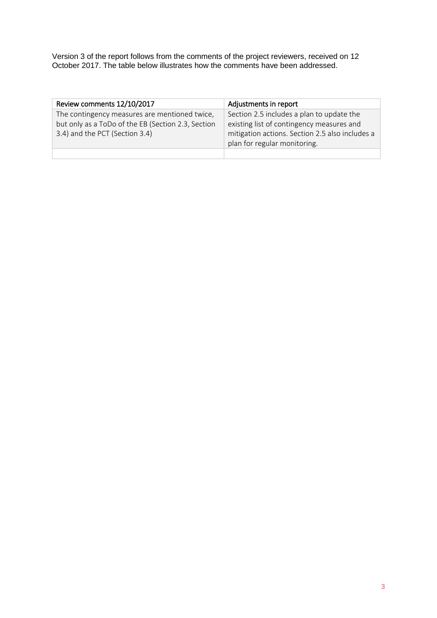Version 3 of the report follows from the comments of the project reviewers, received on 12 October 2017. The table below illustrates how the comments have been addressed.

| Review comments 12/10/2017                         | Adjustments in report                           |
|----------------------------------------------------|-------------------------------------------------|
| The contingency measures are mentioned twice,      | Section 2.5 includes a plan to update the       |
| but only as a ToDo of the EB (Section 2.3, Section | existing list of contingency measures and       |
| 3.4) and the PCT (Section 3.4)                     | mitigation actions. Section 2.5 also includes a |
|                                                    | plan for regular monitoring.                    |
|                                                    |                                                 |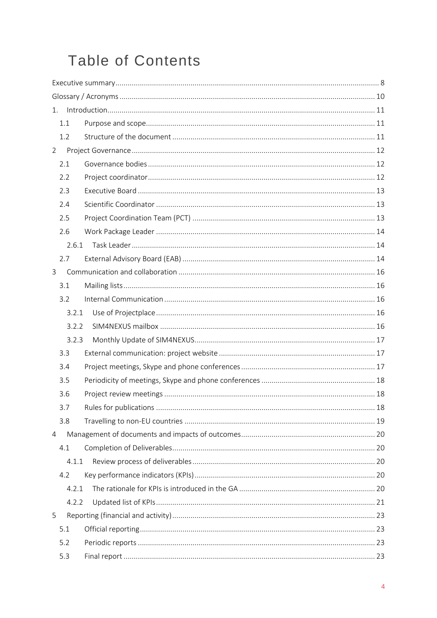## **Table of Contents**

| 1.             |  |
|----------------|--|
| 1.1            |  |
| 1.2            |  |
| $\overline{2}$ |  |
| 2.1            |  |
| 2.2            |  |
| 2.3            |  |
| 2.4            |  |
| 2.5            |  |
| 2.6            |  |
| 2.6.1          |  |
| 2.7            |  |
| 3              |  |
| 3.1            |  |
| 3.2            |  |
| 3.2.1          |  |
| 3.2.2          |  |
| 3.2.3          |  |
| 3.3            |  |
| 3.4            |  |
| 3.5            |  |
| 3.6            |  |
| 3.7            |  |
| 3.8            |  |
| 4              |  |
| 4.1            |  |
| 4.1.1          |  |
| 4.2            |  |
| 4.2.1          |  |
| 4.2.2          |  |
| 5              |  |
| 5.1            |  |
| 5.2            |  |
| 5.3            |  |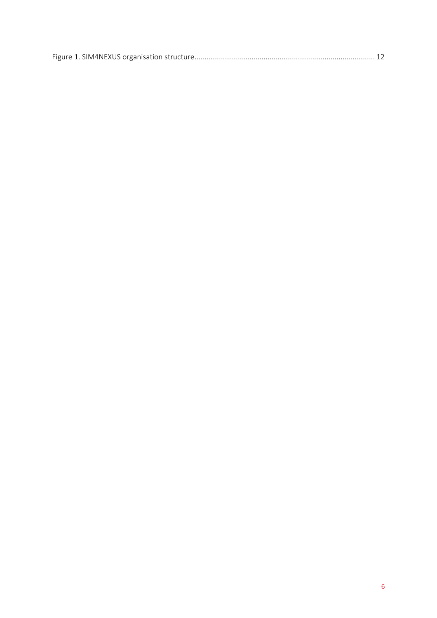|--|--|--|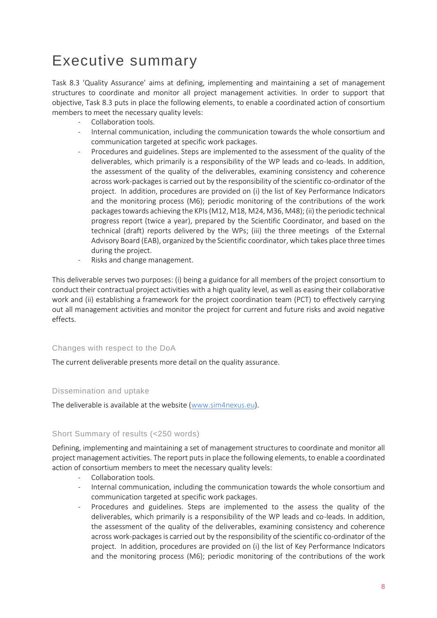## <span id="page-7-0"></span>Executive summary

Task 8.3 'Quality Assurance' aims at defining, implementing and maintaining a set of management structures to coordinate and monitor all project management activities. In order to support that objective, Task 8.3 puts in place the following elements, to enable a coordinated action of consortium members to meet the necessary quality levels:

- Collaboration tools.
- Internal communication, including the communication towards the whole consortium and communication targeted at specific work packages.
- Procedures and guidelines. Steps are implemented to the assessment of the quality of the deliverables, which primarily is a responsibility of the WP leads and co-leads. In addition, the assessment of the quality of the deliverables, examining consistency and coherence across work-packages is carried out by the responsibility of the scientific co-ordinator of the project. In addition, procedures are provided on (i) the list of Key Performance Indicators and the monitoring process (M6); periodic monitoring of the contributions of the work packages towards achieving the KPIs (M12, M18, M24, M36, M48); (ii) the periodic technical progress report (twice a year), prepared by the Scientific Coordinator, and based on the technical (draft) reports delivered by the WPs; (iii) the three meetings of the External Advisory Board (EAB), organized by the Scientific coordinator, which takes place three times during the project.
- Risks and change management.

This deliverable serves two purposes: (i) being a guidance for all members of the project consortium to conduct their contractual project activities with a high quality level, as well as easing their collaborative work and (ii) establishing a framework for the project coordination team (PCT) to effectively carrying out all management activities and monitor the project for current and future risks and avoid negative effects.

#### Changes with respect to the DoA

The current deliverable presents more detail on the quality assurance.

#### Dissemination and uptake

The deliverable is available at the website [\(www.sim4nexus.eu\)](http://www.sim4nexus.eu/).

#### Short Summary of results (<250 words)

Defining, implementing and maintaining a set of management structures to coordinate and monitor all project management activities. The report puts in place the following elements, to enable a coordinated action of consortium members to meet the necessary quality levels:

- Collaboration tools.
- Internal communication, including the communication towards the whole consortium and communication targeted at specific work packages.
- Procedures and guidelines. Steps are implemented to the assess the quality of the deliverables, which primarily is a responsibility of the WP leads and co-leads. In addition, the assessment of the quality of the deliverables, examining consistency and coherence across work-packages is carried out by the responsibility of the scientific co-ordinator of the project. In addition, procedures are provided on (i) the list of Key Performance Indicators and the monitoring process (M6); periodic monitoring of the contributions of the work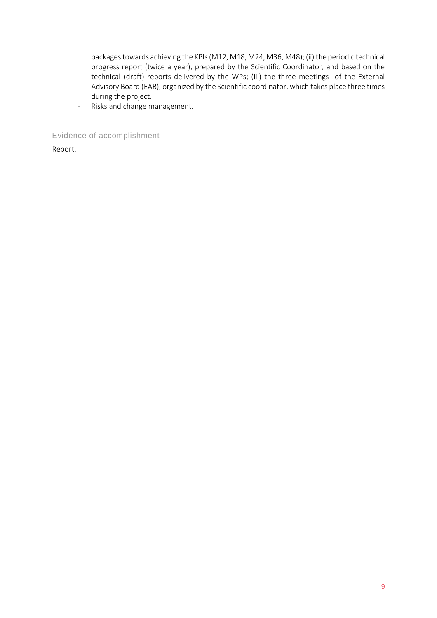packages towards achieving the KPIs (M12, M18, M24, M36, M48); (ii) the periodic technical progress report (twice a year), prepared by the Scientific Coordinator, and based on the technical (draft) reports delivered by the WPs; (iii) the three meetings of the External Advisory Board (EAB), organized by the Scientific coordinator, which takes place three times during the project.

- Risks and change management.

Evidence of accomplishment

Report.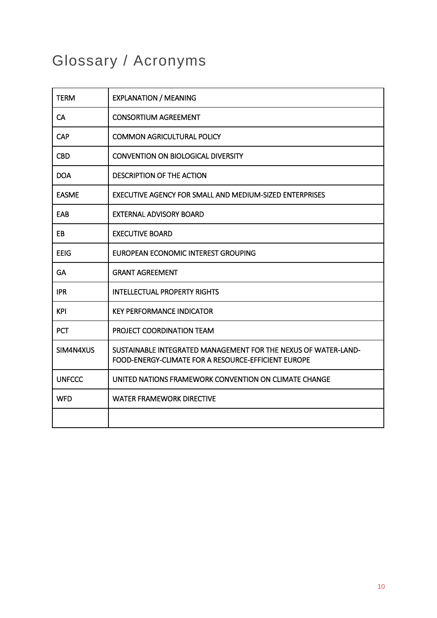## <span id="page-9-0"></span>Glossary / Acronyms

| <b>TERM</b>   | <b>EXPLANATION / MEANING</b>                                                                                          |
|---------------|-----------------------------------------------------------------------------------------------------------------------|
| <b>CA</b>     | <b>CONSORTIUM AGREEMENT</b>                                                                                           |
| <b>CAP</b>    | <b>COMMON AGRICULTURAL POLICY</b>                                                                                     |
| <b>CBD</b>    | <b>CONVENTION ON BIOLOGICAL DIVERSITY</b>                                                                             |
| <b>DOA</b>    | <b>DESCRIPTION OF THE ACTION</b>                                                                                      |
| <b>EASME</b>  | EXECUTIVE AGENCY FOR SMALL AND MEDIUM-SIZED ENTERPRISES                                                               |
| EAB           | <b>EXTERNAL ADVISORY BOARD</b>                                                                                        |
| EB            | <b>EXECUTIVE BOARD</b>                                                                                                |
| <b>EEIG</b>   | EUROPEAN ECONOMIC INTEREST GROUPING                                                                                   |
| <b>GA</b>     | <b>GRANT AGREEMENT</b>                                                                                                |
| <b>IPR</b>    | <b>INTELLECTUAL PROPERTY RIGHTS</b>                                                                                   |
| <b>KPI</b>    | <b>KEY PERFORMANCE INDICATOR</b>                                                                                      |
| <b>PCT</b>    | PROJECT COORDINATION TEAM                                                                                             |
| SIM4N4XUS     | SUSTAINABLE INTEGRATED MANAGEMENT FOR THE NEXUS OF WATER-LAND-<br>FOOD-ENERGY-CLIMATE FOR A RESOURCE-EFFICIENT EUROPE |
| <b>UNFCCC</b> | UNITED NATIONS FRAMEWORK CONVENTION ON CLIMATE CHANGE                                                                 |
| <b>WFD</b>    | <b>WATER FRAMEWORK DIRECTIVE</b>                                                                                      |
|               |                                                                                                                       |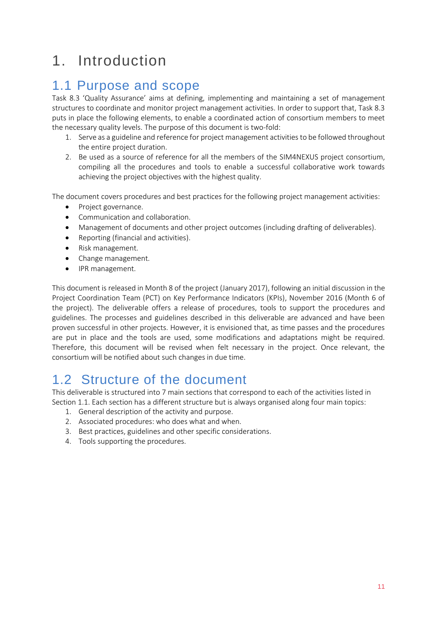## <span id="page-10-0"></span>1. Introduction

### <span id="page-10-1"></span>1.1 Purpose and scope

Task 8.3 'Quality Assurance' aims at defining, implementing and maintaining a set of management structures to coordinate and monitor project management activities. In order to support that, Task 8.3 puts in place the following elements, to enable a coordinated action of consortium members to meet the necessary quality levels. The purpose of this document is two-fold:

- 1. Serve as a guideline and reference for project management activities to be followed throughout the entire project duration.
- 2. Be used as a source of reference for all the members of the SIM4NEXUS project consortium, compiling all the procedures and tools to enable a successful collaborative work towards achieving the project objectives with the highest quality.

The document covers procedures and best practices for the following project management activities:

- Project governance.
- Communication and collaboration.
- Management of documents and other project outcomes (including drafting of deliverables).
- Reporting (financial and activities).
- Risk management.
- Change management.
- IPR management.

This document is released in Month 8 of the project (January 2017), following an initial discussion in the Project Coordination Team (PCT) on Key Performance Indicators (KPIs), November 2016 (Month 6 of the project). The deliverable offers a release of procedures, tools to support the procedures and guidelines. The processes and guidelines described in this deliverable are advanced and have been proven successful in other projects. However, it is envisioned that, as time passes and the procedures are put in place and the tools are used, some modifications and adaptations might be required. Therefore, this document will be revised when felt necessary in the project. Once relevant, the consortium will be notified about such changes in due time.

### <span id="page-10-2"></span>1.2 Structure of the document

This deliverable is structured into 7 main sections that correspond to each of the activities listed in Section 1.1. Each section has a different structure but is always organised along four main topics:

- 1. General description of the activity and purpose.
- 2. Associated procedures: who does what and when.
- 3. Best practices, guidelines and other specific considerations.
- 4. Tools supporting the procedures.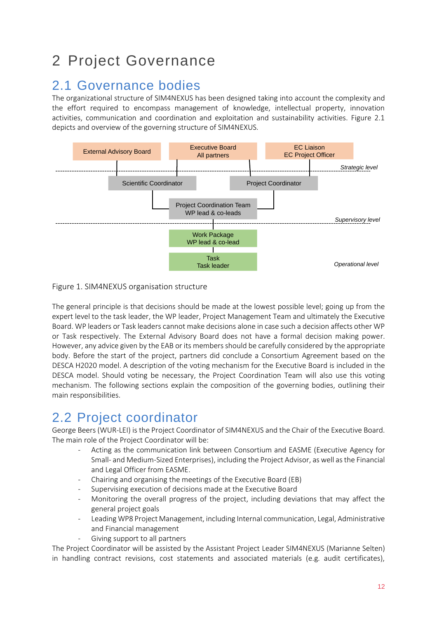## <span id="page-11-0"></span>2 Project Governance

### <span id="page-11-1"></span>2.1 Governance bodies

The organizational structure of SIM4NEXUS has been designed taking into account the complexity and the effort required to encompass management of knowledge, intellectual property, innovation activities, communication and coordination and exploitation and sustainability activities. Figure 2.1 depicts and overview of the governing structure of SIM4NEXUS.



### Figure 1. SIM4NEXUS organisation structure

The general principle is that decisions should be made at the lowest possible level; going up from the expert level to the task leader, the WP leader, Project Management Team and ultimately the Executive Board. WP leaders or Task leaders cannot make decisions alone in case such a decision affects other WP or Task respectively. The External Advisory Board does not have a formal decision making power. However, any advice given by the EAB or its members should be carefully considered by the appropriate body. Before the start of the project, partners did conclude a Consortium Agreement based on the DESCA H2020 model. A description of the voting mechanism for the Executive Board is included in the DESCA model. Should voting be necessary, the Project Coordination Team will also use this voting mechanism. The following sections explain the composition of the governing bodies, outlining their main responsibilities.

### <span id="page-11-2"></span>2.2 Project coordinator

George Beers (WUR-LEI) is the Project Coordinator of SIM4NEXUS and the Chair of the Executive Board. The main role of the Project Coordinator will be:

- Acting as the communication link between Consortium and EASME (Executive Agency for Small- and Medium-Sized Enterprises), including the Project Advisor, as well as the Financial and Legal Officer from EASME.
- Chairing and organising the meetings of the Executive Board (EB)
- Supervising execution of decisions made at the Executive Board
- Monitoring the overall progress of the project, including deviations that may affect the general project goals
- Leading WP8 Project Management, including Internal communication, Legal, Administrative and Financial management
	- Giving support to all partners

The Project Coordinator will be assisted by the Assistant Project Leader SIM4NEXUS (Marianne Selten) in handling contract revisions, cost statements and associated materials (e.g. audit certificates),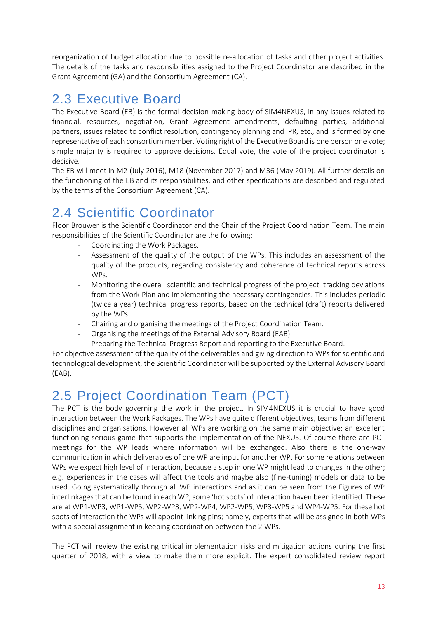reorganization of budget allocation due to possible re-allocation of tasks and other project activities. The details of the tasks and responsibilities assigned to the Project Coordinator are described in the Grant Agreement (GA) and the Consortium Agreement (CA).

### <span id="page-12-0"></span>2.3 Executive Board

The Executive Board (EB) is the formal decision-making body of SIM4NEXUS, in any issues related to financial, resources, negotiation, Grant Agreement amendments, defaulting parties, additional partners, issues related to conflict resolution, contingency planning and IPR, etc., and is formed by one representative of each consortium member. Voting right of the Executive Board is one person one vote; simple majority is required to approve decisions. Equal vote, the vote of the project coordinator is decisive.

The EB will meet in M2 (July 2016), M18 (November 2017) and M36 (May 2019). All further details on the functioning of the EB and its responsibilities, and other specifications are described and regulated by the terms of the Consortium Agreement (CA).

### <span id="page-12-1"></span>2.4 Scientific Coordinator

Floor Brouwer is the Scientific Coordinator and the Chair of the Project Coordination Team. The main responsibilities of the Scientific Coordinator are the following:

- Coordinating the Work Packages.
- Assessment of the quality of the output of the WPs. This includes an assessment of the quality of the products, regarding consistency and coherence of technical reports across WPs.
- Monitoring the overall scientific and technical progress of the project, tracking deviations from the Work Plan and implementing the necessary contingencies. This includes periodic (twice a year) technical progress reports, based on the technical (draft) reports delivered by the WPs.
- Chairing and organising the meetings of the Project Coordination Team.
- Organising the meetings of the External Advisory Board (EAB).
- Preparing the Technical Progress Report and reporting to the Executive Board.

For objective assessment of the quality of the deliverables and giving direction to WPs for scientific and technological development, the Scientific Coordinator will be supported by the External Advisory Board (EAB).

### <span id="page-12-2"></span>2.5 Project Coordination Team (PCT)

The PCT is the body governing the work in the project. In SIM4NEXUS it is crucial to have good interaction between the Work Packages. The WPs have quite different objectives, teams from different disciplines and organisations. However all WPs are working on the same main objective; an excellent functioning serious game that supports the implementation of the NEXUS. Of course there are PCT meetings for the WP leads where information will be exchanged. Also there is the one-way communication in which deliverables of one WP are input for another WP. For some relations between WPs we expect high level of interaction, because a step in one WP might lead to changes in the other; e.g. experiences in the cases will affect the tools and maybe also (fine-tuning) models or data to be used. Going systematically through all WP interactions and as it can be seen from the Figures of WP interlinkages that can be found in each WP, some 'hot spots' of interaction haven been identified. These are at WP1-WP3, WP1-WP5, WP2-WP3, WP2-WP4, WP2-WP5, WP3-WP5 and WP4-WP5. For these hot spots of interaction the WPs will appoint linking pins; namely, experts that will be assigned in both WPs with a special assignment in keeping coordination between the 2 WPs.

The PCT will review the existing critical implementation risks and mitigation actions during the first quarter of 2018, with a view to make them more explicit. The expert consolidated review report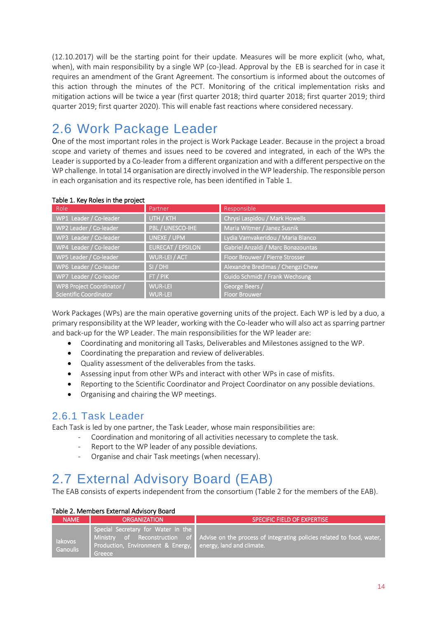(12.10.2017) will be the starting point for their update. Measures will be more explicit (who, what, when), with main responsibility by a single WP (co-)lead. Approval by the EB is searched for in case it requires an amendment of the Grant Agreement. The consortium is informed about the outcomes of this action through the minutes of the PCT. Monitoring of the critical implementation risks and mitigation actions will be twice a year (first quarter 2018; third quarter 2018; first quarter 2019; third quarter 2019; first quarter 2020). This will enable fast reactions where considered necessary.

### <span id="page-13-0"></span>2.6 Work Package Leader

One of the most important roles in the project is Work Package Leader. Because in the project a broad scope and variety of themes and issues need to be covered and integrated, in each of the WPs the Leader is supported by a Co-leader from a different organization and with a different perspective on the WP challenge. In total 14 organisation are directly involved in the WP leadership. The responsible person in each organisation and its respective role, has been identified in Table 1.

| rapic 1. Rey Roles in the project |                          |                                    |
|-----------------------------------|--------------------------|------------------------------------|
| Role                              | Partner                  | Responsible                        |
| WP1 Leader / Co-leader            | UTH / KTH                | Chrysi Laspidou / Mark Howells     |
| WP2 Leader / Co-leader            | PBL / UNESCO-IHE         | Maria Witmer / Janez Susnik        |
| WP3 Leader / Co-leader            | UNEXE / UPM              | Lydia Vamvakeridou / Maria Blanco  |
| WP4 Leader / Co-leader            | <b>EURECAT / EPSILON</b> | Gabriel Anzaldi / Marc Bonazountas |
| WP5 Leader / Co-leader            | WUR-LEI / ACT            | Floor Brouwer / Pierre Strosser    |
| WP6 Leader / Co-leader            | SI/DHI                   | Alexandre Bredimas / Chengzi Chew  |
| WP7 Leader / Co-leader            | FT/PIK                   | Guido Schmidt / Frank Wechsung     |
| WP8 Project Coordinator /         | <b>WUR-LEI</b>           | George Beers /                     |
| <b>Scientific Coordinator</b>     | <b>WUR-LEI</b>           | <b>Floor Brouwer</b>               |

#### Table 1. Key Roles in the project

Work Packages (WPs) are the main operative governing units of the project. Each WP is led by a duo, a primary responsibility at the WP leader, working with the Co-leader who will also act as sparring partner and back-up for the WP Leader. The main responsibilities for the WP leader are:

- Coordinating and monitoring all Tasks, Deliverables and Milestones assigned to the WP.
- Coordinating the preparation and review of deliverables.
- Quality assessment of the deliverables from the tasks.
- Assessing input from other WPs and interact with other WPs in case of misfits.
- Reporting to the Scientific Coordinator and Project Coordinator on any possible deviations.
- Organising and chairing the WP meetings.

### <span id="page-13-1"></span>2.6.1 Task Leader

Each Task is led by one partner, the Task Leader, whose main responsibilities are:

- Coordination and monitoring of all activities necessary to complete the task.
- Report to the WP leader of any possible deviations.
- Organise and chair Task meetings (when necessary).

### <span id="page-13-2"></span>2.7 External Advisory Board (EAB)

The EAB consists of experts independent from the consortium (Table 2 for the members of the EAB).

#### Table 2. Members External Advisory Board

| <b>NAME</b>                       | <b>ORGANIZATION</b>                                                                                          | SPECIFIC FIELD OF EXPERTISE                                                                         |
|-----------------------------------|--------------------------------------------------------------------------------------------------------------|-----------------------------------------------------------------------------------------------------|
| <b>lakovos</b><br><b>Ganoulis</b> | Special Secretary for Water in the<br>Production, Environment & Energy, lenergy, land and climate.<br>Greece | Ministry of Reconstruction of Advise on the process of integrating policies related to food, water, |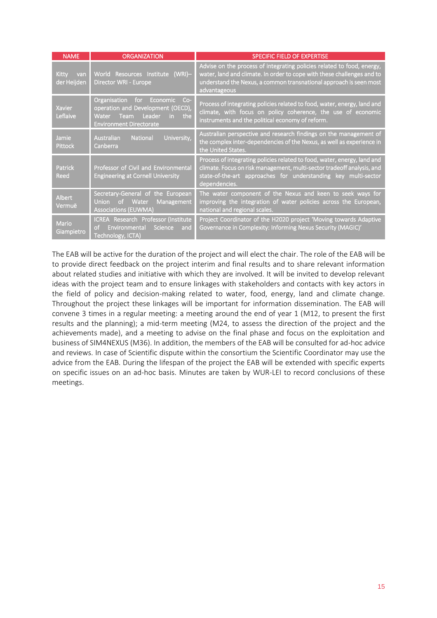| <b>NAME</b>                        | <b>ORGANIZATION</b>                                                                                                                                   | <b>SPECIFIC FIELD OF EXPERTISE</b>                                                                                                                                                                                                     |
|------------------------------------|-------------------------------------------------------------------------------------------------------------------------------------------------------|----------------------------------------------------------------------------------------------------------------------------------------------------------------------------------------------------------------------------------------|
| <b>Kitty</b><br>van<br>der Heijden | World Resources Institute (WRI)-<br>Director WRI - Europe                                                                                             | Advise on the process of integrating policies related to food, energy,<br>water, land and climate. In order to cope with these challenges and to<br>understand the Nexus, a common transnational approach is seen most<br>advantageous |
| <b>Xavier</b><br>Leflaive          | $Co-$<br>for<br>Economic<br>Organisation<br>operation and Development (OECD),<br>Leader<br>Water Team<br>the<br>in.<br><b>Environment Directorate</b> | Process of integrating policies related to food, water, energy, land and<br>climate, with focus on policy coherence, the use of economic<br>instruments and the political economy of reform.                                           |
| Jamie<br><b>Pittock</b>            | University,<br>National<br>Australian<br>Canberra                                                                                                     | Australian perspective and research findings on the management of<br>the complex inter-dependencies of the Nexus, as well as experience in<br>the United States.                                                                       |
| <b>Patrick</b><br>Reed             | Professor of Civil and Environmental<br><b>Engineering at Cornell University</b>                                                                      | Process of integrating policies related to food, water, energy, land and<br>climate. Focus on risk management, multi-sector tradeoff analysis, and<br>state-of-the-art approaches for understanding key multi-sector<br>dependencies.  |
| <b>Albert</b><br>Vermuë            | Secretary-General of<br>the European<br>Water<br>Management<br><b>Union</b><br>of.<br><b>Associations (EUWMA)</b>                                     | The water component of the Nexus and keen to seek ways for<br>improving the integration of water policies across the European,<br>national and regional scales.                                                                        |
| Mario<br>Giampietro                | ICREA Research Professor (Institute<br>Environmental<br>Science<br>of<br>and<br>Technology, ICTA)                                                     | Project Coordinator of the H2020 project 'Moving towards Adaptive<br>Governance in Complexity: Informing Nexus Security (MAGIC)'                                                                                                       |

The EAB will be active for the duration of the project and will elect the chair. The role of the EAB will be to provide direct feedback on the project interim and final results and to share relevant information about related studies and initiative with which they are involved. It will be invited to develop relevant ideas with the project team and to ensure linkages with stakeholders and contacts with key actors in the field of policy and decision-making related to water, food, energy, land and climate change. Throughout the project these linkages will be important for information dissemination. The EAB will convene 3 times in a regular meeting: a meeting around the end of year 1 (M12, to present the first results and the planning); a mid-term meeting (M24, to assess the direction of the project and the achievements made), and a meeting to advise on the final phase and focus on the exploitation and business of SIM4NEXUS (M36). In addition, the members of the EAB will be consulted for ad-hoc advice and reviews. In case of Scientific dispute within the consortium the Scientific Coordinator may use the advice from the EAB. During the lifespan of the project the EAB will be extended with specific experts on specific issues on an ad-hoc basis. Minutes are taken by WUR-LEI to record conclusions of these meetings.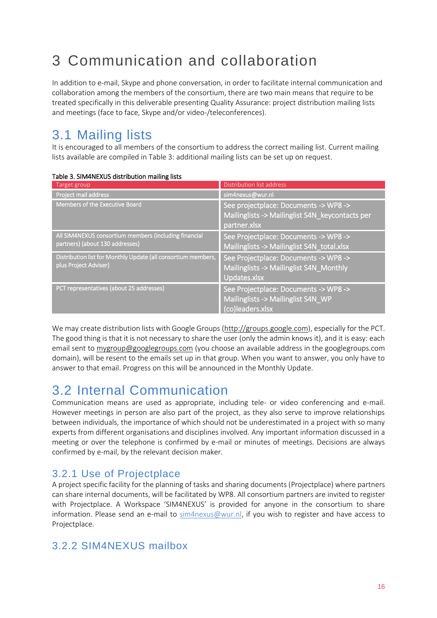## <span id="page-15-0"></span>3 Communication and collaboration

In addition to e-mail, Skype and phone conversation, in order to facilitate internal communication and collaboration among the members of the consortium, there are two main means that require to be treated specifically in this deliverable presenting Quality Assurance: project distribution mailing lists and meetings (face to face, Skype and/or video-/teleconferences).

### <span id="page-15-1"></span>3.1 Mailing lists

It is encouraged to all members of the consortium to address the correct mailing list. Current mailing lists available are compiled in Table 3: additional mailing lists can be set up on request.

| Target group                                                                             | Distribution list address                                                                                |
|------------------------------------------------------------------------------------------|----------------------------------------------------------------------------------------------------------|
| Project mail address                                                                     | sim4nexus@wur.nl                                                                                         |
| Members of the Executive Board                                                           | See projectplace: Documents -> WP8 -><br>Mailinglists -> Mailinglist S4N_keycontacts per<br>partner.xlsx |
| All SIM4NEXUS consortium members (including financial<br>partners) (about 130 addresses) | See Projectplace: Documents -> WP8 -><br>Mailinglists -> Mailinglist S4N_total.xlsx                      |
| Distribution list for Monthly Update (all consortium members,<br>plus Project Adviser)   | See Projectplace: Documents -> WP8 -><br>Mailinglists -> Mailinglist S4N_Monthly<br>Updates.xlsx         |
| PCT representatives (about 25 addresses)                                                 | See Projectplace: Documents -> WP8 -><br>Mailinglists -> Mailinglist S4N WP<br>(co)leaders.xlsx          |

#### Table 3. SIM4NEXUS distribution mailing lists

We may create distribution lists with Google Groups [\(http://groups.google.com\)](http://groups.google.com/), especially for the PCT. The good thing is that it is not necessary to share the user (only the admin knows it), and it is easy: each email sent to [mygroup@googlegroups.com](mailto:mygroup@googlegroups.com) (you choose an available address in the googlegroups.com domain), will be resent to the emails set up in that group. When you want to answer, you only have to answer to that email. Progress on this will be announced in the Monthly Update.

### <span id="page-15-2"></span>3.2 Internal Communication

Communication means are used as appropriate, including tele- or video conferencing and e-mail. However meetings in person are also part of the project, as they also serve to improve relationships between individuals, the importance of which should not be underestimated in a project with so many experts from different organisations and disciplines involved. Any important information discussed in a meeting or over the telephone is confirmed by e-mail or minutes of meetings. Decisions are always confirmed by e-mail, by the relevant decision maker.

### <span id="page-15-3"></span>3.2.1 Use of Projectplace

A project specific facility for the planning of tasks and sharing documents (Projectplace) where partners can share internal documents, will be facilitated by WP8. All consortium partners are invited to register with Projectplace. A Workspace 'SIM4NEXUS' is provided for anyone in the consortium to share information. Please send an e-mail to [sim4nexus@wur.nl,](mailto:sim4nexus@wur.nl) if you wish to register and have access to Projectplace.

### <span id="page-15-4"></span>3.2.2 SIM4NEXUS mailbox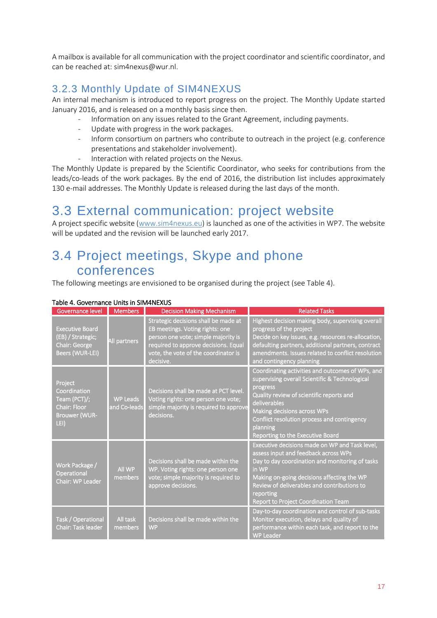A mailbox is available for all communication with the project coordinator and scientific coordinator, and can be reached at: sim4nexus@wur.nl.

### <span id="page-16-0"></span>3.2.3 Monthly Update of SIM4NEXUS

An internal mechanism is introduced to report progress on the project. The Monthly Update started January 2016, and is released on a monthly basis since then.

- Information on any issues related to the Grant Agreement, including payments.
- Update with progress in the work packages.
- Inform consortium on partners who contribute to outreach in the project (e.g. conference presentations and stakeholder involvement).
- Interaction with related projects on the Nexus.

The Monthly Update is prepared by the Scientific Coordinator, who seeks for contributions from the leads/co-leads of the work packages. By the end of 2016, the distribution list includes approximately 130 e-mail addresses. The Monthly Update is released during the last days of the month.

### <span id="page-16-1"></span>3.3 External communication: project website

A project specific website [\(www.sim4nexus.eu\)](http://www.sim4nexus.eu/) is launched as one of the activities in WP7. The website will be updated and the revision will be launched early 2017.

### <span id="page-16-2"></span>3.4 Project meetings, Skype and phone conferences

The following meetings are envisioned to be organised during the project (see Table 4).

| Governance level                                                                        | <b>Members</b>                  | <b>Decision Making Mechanism</b>                                                                                                                                                                            | <b>Related Tasks</b>                                                                                                                                                                                                                                                                                       |
|-----------------------------------------------------------------------------------------|---------------------------------|-------------------------------------------------------------------------------------------------------------------------------------------------------------------------------------------------------------|------------------------------------------------------------------------------------------------------------------------------------------------------------------------------------------------------------------------------------------------------------------------------------------------------------|
| <b>Executive Board</b><br>(EB) / Strategic;<br>Chair: George<br>Beers (WUR-LEI)         | All partners                    | Strategic decisions shall be made at<br>EB meetings. Voting rights: one<br>person one vote; simple majority is<br>required to approve decisions. Equal<br>vote, the vote of the coordinator is<br>decisive. | Highest decision making body, supervising overall<br>progress of the project<br>Decide on key issues, e.g. resources re-allocation,<br>defaulting partners, additional partners, contract<br>amendments. Issues related to conflict resolution<br>and contingency planning                                 |
| Project<br>Coordination<br>Team (PCT)/;<br>Chair: Floor<br><b>Brouwer (WUR-</b><br>LEI) | <b>WP Leads</b><br>and Co-leads | Decisions shall be made at PCT level.<br>Voting rights: one person one vote;<br>simple majority is required to approve<br>decisions.                                                                        | Coordinating activities and outcomes of WPs, and<br>supervising overall Scientific & Technological<br>progress<br>Quality review of scientific reports and<br>deliverables<br>Making decisions across WPs<br>Conflict resolution process and contingency<br>planning<br>Reporting to the Executive Board   |
| Work Package /<br>Operational<br>Chair: WP Leader                                       | <b>All WP</b><br>members        | Decisions shall be made within the<br>WP. Voting rights: one person one<br>vote; simple majority is required to<br>approve decisions.                                                                       | Executive decisions made on WP and Task level,<br>assess input and feedback across WPs<br>Day to day coordination and monitoring of tasks<br>in WP<br>Making on-going decisions affecting the WP<br>Review of deliverables and contributions to<br>reporting<br><b>Report to Project Coordination Team</b> |
| Task / Operational<br>Chair: Task leader                                                | All task<br>members             | Decisions shall be made within the<br><b>WP</b>                                                                                                                                                             | Day-to-day coordination and control of sub-tasks<br>Monitor execution, delays and quality of<br>performance within each task, and report to the<br><b>WP Leader</b>                                                                                                                                        |

### Table 4. Governance Units in SIM4NEXUS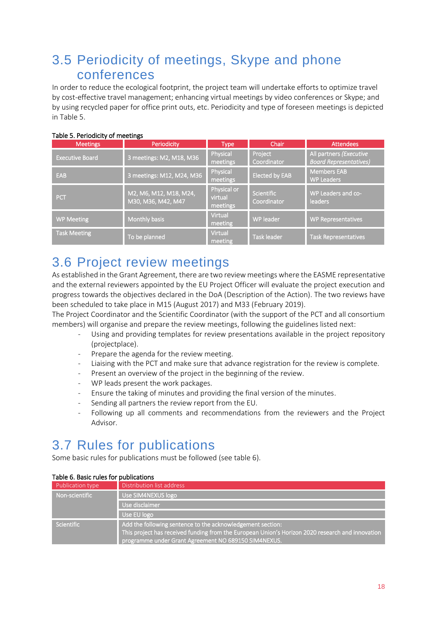### <span id="page-17-0"></span>3.5 Periodicity of meetings, Skype and phone conferences

In order to reduce the ecological footprint, the project team will undertake efforts to optimize travel by cost-effective travel management; enhancing virtual meetings by video conferences or Skype; and by using recycled paper for office print outs, etc. Periodicity and type of foreseen meetings is depicted in Table 5.

| <b>Meetings</b>        | Periodicity                                  | <b>Type</b>                        | <b>Chair</b>                     | <b>Attendees</b>                                         |
|------------------------|----------------------------------------------|------------------------------------|----------------------------------|----------------------------------------------------------|
| <b>Executive Board</b> | 3 meetings: M2, M18, M36                     | Physical<br>meetings               | Project<br>Coordinator           | All partners (Executive<br><b>Board Representatives)</b> |
| EAB                    | 3 meetings: M12, M24, M36                    | Physical<br>meetings               | <b>Elected by EAB</b>            | <b>Members EAB</b><br><b>WP Leaders</b>                  |
| PCT                    | M2, M6, M12, M18, M24,<br>M30, M36, M42, M47 | Physical or<br>virtual<br>meetings | <b>Scientific</b><br>Coordinator | WP Leaders and co-<br>leaders                            |
| <b>WP Meeting</b>      | Monthly basis                                | <b>Virtual</b><br>meeting          | WP leader                        | <b>WP Representatives</b>                                |
| <b>Task Meeting</b>    | To be planned                                | Virtual<br>meeting                 | <b>Task leader</b>               | <b>Task Representatives</b>                              |

#### Table 5. Periodicity of meetings

### <span id="page-17-1"></span>3.6 Project review meetings

As established in the Grant Agreement, there are two review meetings where the EASME representative and the external reviewers appointed by the EU Project Officer will evaluate the project execution and progress towards the objectives declared in the DoA (Description of the Action). The two reviews have been scheduled to take place in M15 (August 2017) and M33 (February 2019).

The Project Coordinator and the Scientific Coordinator (with the support of the PCT and all consortium members) will organise and prepare the review meetings, following the guidelines listed next:

- Using and providing templates for review presentations available in the project repository (projectplace).
- Prepare the agenda for the review meeting.
- Liaising with the PCT and make sure that advance registration for the review is complete.
- Present an overview of the project in the beginning of the review.
- WP leads present the work packages.
- Ensure the taking of minutes and providing the final version of the minutes.
- Sending all partners the review report from the EU.
- Following up all comments and recommendations from the reviewers and the Project Advisor.

### <span id="page-17-2"></span>3.7 Rules for publications

Some basic rules for publications must be followed (see table 6).

| Table 6. Basic rules for publications |                                                                                                                                                                                                                        |  |  |  |
|---------------------------------------|------------------------------------------------------------------------------------------------------------------------------------------------------------------------------------------------------------------------|--|--|--|
| Publication type                      | Distribution list address                                                                                                                                                                                              |  |  |  |
| Non-scientific                        | Use SIM4NEXUS logo                                                                                                                                                                                                     |  |  |  |
|                                       | Use disclaimer                                                                                                                                                                                                         |  |  |  |
|                                       | Use EU logo                                                                                                                                                                                                            |  |  |  |
| <b>Scientific</b>                     | Add the following sentence to the acknowledgement section:<br>This project has received funding from the European Union's Horizon 2020 research and innovation<br>programme under Grant Agreement NO 689150 SIM4NEXUS. |  |  |  |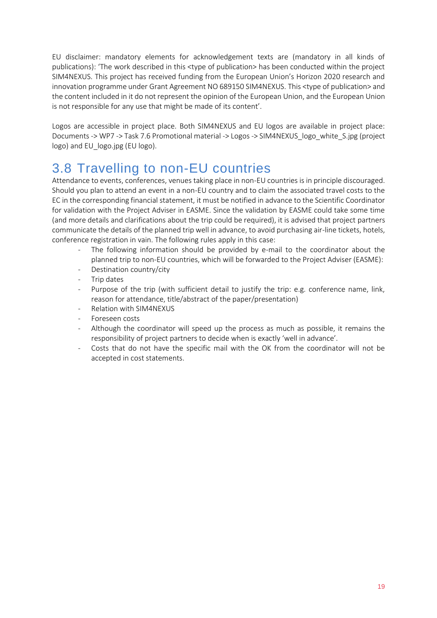EU disclaimer: mandatory elements for acknowledgement texts are (mandatory in all kinds of publications): 'The work described in this <type of publication> has been conducted within the project SIM4NEXUS. This project has received funding from the European Union's Horizon 2020 research and innovation programme under Grant Agreement NO 689150 SIM4NEXUS. This <type of publication> and the content included in it do not represent the opinion of the European Union, and the European Union is not responsible for any use that might be made of its content'.

Logos are accessible in project place. Both SIM4NEXUS and EU logos are available in project place: Documents -> WP7 -> Task 7.6 Promotional material -> Logos -> SIM4NEXUS\_logo\_white\_S.jpg (project logo) and EU\_logo.jpg (EU logo).

### <span id="page-18-0"></span>3.8 Travelling to non-EU countries

Attendance to events, conferences, venues taking place in non-EU countries is in principle discouraged. Should you plan to attend an event in a non-EU country and to claim the associated travel costs to the EC in the corresponding financial statement, it must be notified in advance to the Scientific Coordinator for validation with the Project Adviser in EASME. Since the validation by EASME could take some time (and more details and clarifications about the trip could be required), it is advised that project partners communicate the details of the planned trip well in advance, to avoid purchasing air-line tickets, hotels, conference registration in vain. The following rules apply in this case:

- The following information should be provided by e-mail to the coordinator about the planned trip to non-EU countries, which will be forwarded to the Project Adviser (EASME):
- Destination country/city
- Trip dates
- Purpose of the trip (with sufficient detail to justify the trip: e.g. conference name, link, reason for attendance, title/abstract of the paper/presentation)
- Relation with SIM4NEXUS
- Foreseen costs
- Although the coordinator will speed up the process as much as possible, it remains the responsibility of project partners to decide when is exactly 'well in advance'.
- Costs that do not have the specific mail with the OK from the coordinator will not be accepted in cost statements.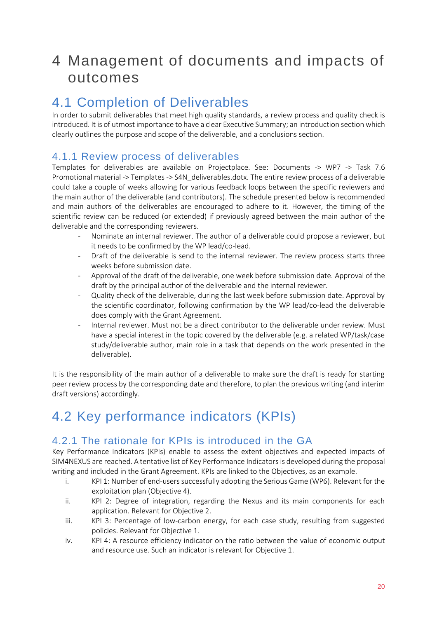## <span id="page-19-0"></span>4 Management of documents and impacts of outcomes

### <span id="page-19-1"></span>4.1 Completion of Deliverables

In order to submit deliverables that meet high quality standards, a review process and quality check is introduced. It is of utmost importance to have a clear Executive Summary; an introduction section which clearly outlines the purpose and scope of the deliverable, and a conclusions section.

### <span id="page-19-2"></span>4.1.1 Review process of deliverables

Templates for deliverables are available on Projectplace. See: Documents -> WP7 -> Task 7.6 Promotional material -> Templates -> S4N\_deliverables.dotx. The entire review process of a deliverable could take a couple of weeks allowing for various feedback loops between the specific reviewers and the main author of the deliverable (and contributors). The schedule presented below is recommended and main authors of the deliverables are encouraged to adhere to it. However, the timing of the scientific review can be reduced (or extended) if previously agreed between the main author of the deliverable and the corresponding reviewers.

- Nominate an internal reviewer. The author of a deliverable could propose a reviewer, but it needs to be confirmed by the WP lead/co-lead.
- Draft of the deliverable is send to the internal reviewer. The review process starts three weeks before submission date.
- Approval of the draft of the deliverable, one week before submission date. Approval of the draft by the principal author of the deliverable and the internal reviewer.
- Quality check of the deliverable, during the last week before submission date. Approval by the scientific coordinator, following confirmation by the WP lead/co-lead the deliverable does comply with the Grant Agreement.
- Internal reviewer. Must not be a direct contributor to the deliverable under review. Must have a special interest in the topic covered by the deliverable (e.g. a related WP/task/case study/deliverable author, main role in a task that depends on the work presented in the deliverable).

It is the responsibility of the main author of a deliverable to make sure the draft is ready for starting peer review process by the corresponding date and therefore, to plan the previous writing (and interim draft versions) accordingly.

### <span id="page-19-3"></span>4.2 Key performance indicators (KPIs)

### <span id="page-19-4"></span>4.2.1 The rationale for KPIs is introduced in the GA

Key Performance Indicators (KPIs) enable to assess the extent objectives and expected impacts of SIM4NEXUS are reached. A tentative list of Key Performance Indicators is developed during the proposal writing and included in the Grant Agreement. KPIs are linked to the Objectives, as an example.

- i. KPI 1: Number of end-users successfully adopting the Serious Game (WP6). Relevant for the exploitation plan (Objective 4).
- ii. KPI 2: Degree of integration, regarding the Nexus and its main components for each application. Relevant for Objective 2.
- iii. KPI 3: Percentage of low-carbon energy, for each case study, resulting from suggested policies. Relevant for Objective 1.
- iv. KPI 4: A resource efficiency indicator on the ratio between the value of economic output and resource use. Such an indicator is relevant for Objective 1.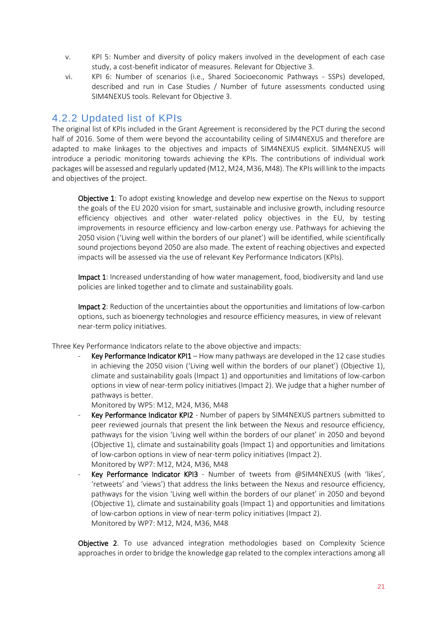- v. KPI 5: Number and diversity of policy makers involved in the development of each case study, a cost-benefit indicator of measures. Relevant for Objective 3.
- vi. KPI 6: Number of scenarios (i.e., Shared Socioeconomic Pathways SSPs) developed, described and run in Case Studies / Number of future assessments conducted using SIM4NEXUS tools. Relevant for Objective 3.

### <span id="page-20-0"></span>4.2.2 Updated list of KPIs

The original list of KPIs included in the Grant Agreement is reconsidered by the PCT during the second half of 2016. Some of them were beyond the accountability ceiling of SIM4NEXUS and therefore are adapted to make linkages to the objectives and impacts of SIM4NEXUS explicit. SIM4NEXUS will introduce a periodic monitoring towards achieving the KPIs. The contributions of individual work packages will be assessed and regularly updated (M12, M24, M36, M48). The KPIs will link to the impacts and objectives of the project.

Objective 1: To adopt existing knowledge and develop new expertise on the Nexus to support the goals of the EU 2020 vision for smart, sustainable and inclusive growth, including resource efficiency objectives and other water-related policy objectives in the EU, by testing improvements in resource efficiency and low-carbon energy use. Pathways for achieving the 2050 vision ('Living well within the borders of our planet') will be identified, while scientifically sound projections beyond 2050 are also made. The extent of reaching objectives and expected impacts will be assessed via the use of relevant Key Performance Indicators (KPIs).

Impact 1: Increased understanding of how water management, food, biodiversity and land use policies are linked together and to climate and sustainability goals.

Impact 2: Reduction of the uncertainties about the opportunities and limitations of low-carbon options, such as bioenergy technologies and resource efficiency measures, in view of relevant near-term policy initiatives.

Three Key Performance Indicators relate to the above objective and impacts:

Key Performance Indicator KPI1 – How many pathways are developed in the 12 case studies in achieving the 2050 vision ('Living well within the borders of our planet') (Objective 1), climate and sustainability goals (Impact 1) and opportunities and limitations of low-carbon options in view of near-term policy initiatives (Impact 2). We judge that a higher number of pathways is better.

Monitored by WP5: M12, M24, M36, M48

- Key Performance Indicator KPI2 Number of papers by SIM4NEXUS partners submitted to peer reviewed journals that present the link between the Nexus and resource efficiency, pathways for the vision 'Living well within the borders of our planet' in 2050 and beyond (Objective 1), climate and sustainability goals (Impact 1) and opportunities and limitations of low-carbon options in view of near-term policy initiatives (Impact 2). Monitored by WP7: M12, M24, M36, M48
- Key Performance Indicator KPI3 Number of tweets from @SIM4NEXUS (with 'likes', 'retweets' and 'views') that address the links between the Nexus and resource efficiency, pathways for the vision 'Living well within the borders of our planet' in 2050 and beyond (Objective 1), climate and sustainability goals (Impact 1) and opportunities and limitations of low-carbon options in view of near-term policy initiatives (Impact 2). Monitored by WP7: M12, M24, M36, M48

Objective 2. To use advanced integration methodologies based on Complexity Science approaches in order to bridge the knowledge gap related to the complex interactions among all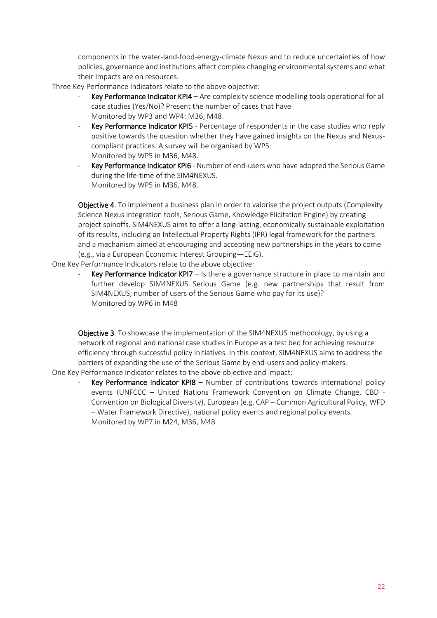components in the water-land-food-energy-climate Nexus and to reduce uncertainties of how policies, governance and institutions affect complex changing environmental systems and what their impacts are on resources.

Three Key Performance Indicators relate to the above objective:

- Key Performance Indicator KPI4 Are complexity science modelling tools operational for all case studies (Yes/No)? Present the number of cases that have Monitored by WP3 and WP4: M36, M48.
- Key Performance Indicator KPI5 Percentage of respondents in the case studies who reply positive towards the question whether they have gained insights on the Nexus and Nexuscompliant practices. A survey will be organised by WP5. Monitored by WP5 in M36, M48.
- Key Performance Indicator KPI6 Number of end-users who have adopted the Serious Game during the life-time of the SIM4NEXUS. Monitored by WP5 in M36, M48.

Objective 4. To implement a business plan in order to valorise the project outputs (Complexity Science Nexus integration tools, Serious Game, Knowledge Elicitation Engine) by creating project spinoffs. SIM4NEXUS aims to offer a long-lasting, economically sustainable exploitation of its results, including an Intellectual Property Rights (IPR) legal framework for the partners and a mechanism aimed at encouraging and accepting new partnerships in the years to come (e.g., via a European Economic Interest Grouping—EEIG).

One Key Performance Indicators relate to the above objective:

Key Performance Indicator KPI7 – Is there a governance structure in place to maintain and further develop SIM4NEXUS Serious Game (e.g. new partnerships that result from SIM4NEXUS; number of users of the Serious Game who pay for its use)? Monitored by WP6 in M48

Objective 3. To showcase the implementation of the SIM4NEXUS methodology, by using a network of regional and national case studies in Europe as a test bed for achieving resource efficiency through successful policy initiatives. In this context, SIM4NEXUS aims to address the barriers of expanding the use of the Serious Game by end-users and policy-makers.

- One Key Performance Indicator relates to the above objective and impact:
	- Key Performance Indicator KPI8 Number of contributions towards international policy events (UNFCCC – United Nations Framework Convention on Climate Change, CBD - Convention on Biological Diversity), European (e.g. CAP – Common Agricultural Policy, WFD – Water Framework Directive), national policy events and regional policy events. Monitored by WP7 in M24, M36, M48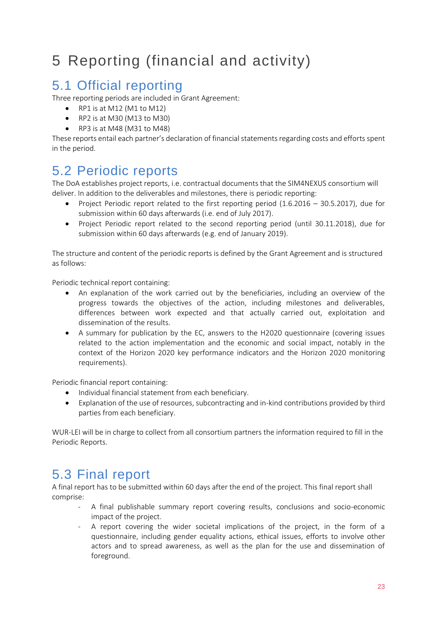## <span id="page-22-0"></span>5 Reporting (financial and activity)

### <span id="page-22-1"></span>5.1 Official reporting

Three reporting periods are included in Grant Agreement:

- RP1 is at M12 (M1 to M12)
- RP2 is at M30 (M13 to M30)
- RP3 is at M48 (M31 to M48)

These reports entail each partner's declaration of financial statements regarding costs and efforts spent in the period.

### <span id="page-22-2"></span>5.2 Periodic reports

The DoA establishes project reports, i.e. contractual documents that the SIM4NEXUS consortium will deliver. In addition to the deliverables and milestones, there is periodic reporting:

- Project Periodic report related to the first reporting period  $(1.6.2016 30.5.2017)$ , due for submission within 60 days afterwards (i.e. end of July 2017).
- Project Periodic report related to the second reporting period (until 30.11.2018), due for submission within 60 days afterwards (e.g. end of January 2019).

The structure and content of the periodic reports is defined by the Grant Agreement and is structured as follows:

Periodic technical report containing:

- An explanation of the work carried out by the beneficiaries, including an overview of the progress towards the objectives of the action, including milestones and deliverables, differences between work expected and that actually carried out, exploitation and dissemination of the results.
- A summary for publication by the EC, answers to the H2020 questionnaire (covering issues related to the action implementation and the economic and social impact, notably in the context of the Horizon 2020 key performance indicators and the Horizon 2020 monitoring requirements).

Periodic financial report containing:

- $\bullet$  Individual financial statement from each beneficiary.
- Explanation of the use of resources, subcontracting and in-kind contributions provided by third parties from each beneficiary.

WUR-LEI will be in charge to collect from all consortium partners the information required to fill in the Periodic Reports.

### <span id="page-22-3"></span>5.3 Final report

A final report has to be submitted within 60 days after the end of the project. This final report shall comprise:

- A final publishable summary report covering results, conclusions and socio-economic impact of the project.
- A report covering the wider societal implications of the project, in the form of a questionnaire, including gender equality actions, ethical issues, efforts to involve other actors and to spread awareness, as well as the plan for the use and dissemination of foreground.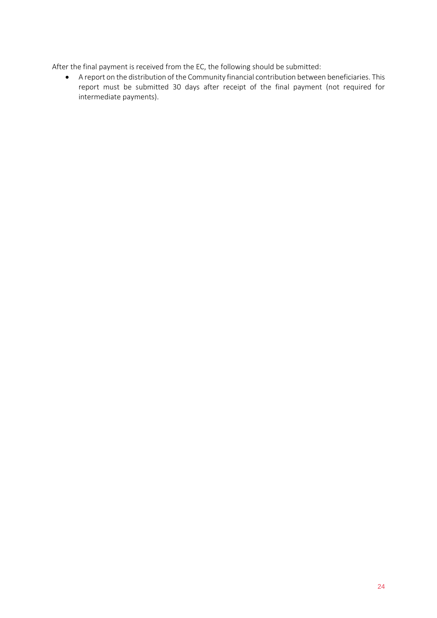After the final payment is received from the EC, the following should be submitted:

 A report on the distribution of the Community financial contribution between beneficiaries. This report must be submitted 30 days after receipt of the final payment (not required for intermediate payments).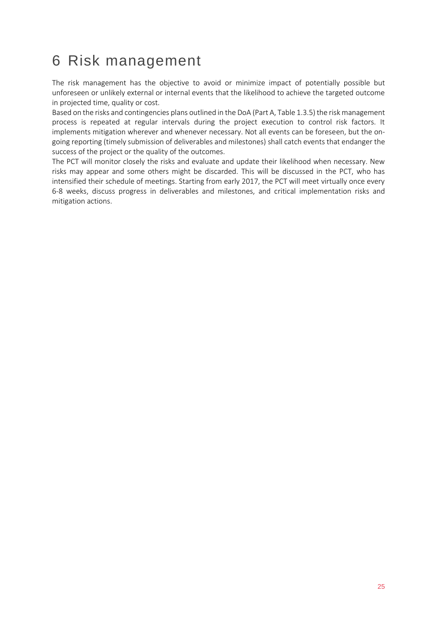## <span id="page-24-0"></span>6 Risk management

The risk management has the objective to avoid or minimize impact of potentially possible but unforeseen or unlikely external or internal events that the likelihood to achieve the targeted outcome in projected time, quality or cost.

Based on the risks and contingencies plans outlined in the DoA (Part A, Table 1.3.5) the risk management process is repeated at regular intervals during the project execution to control risk factors. It implements mitigation wherever and whenever necessary. Not all events can be foreseen, but the ongoing reporting (timely submission of deliverables and milestones) shall catch events that endanger the success of the project or the quality of the outcomes.

The PCT will monitor closely the risks and evaluate and update their likelihood when necessary. New risks may appear and some others might be discarded. This will be discussed in the PCT, who has intensified their schedule of meetings. Starting from early 2017, the PCT will meet virtually once every 6-8 weeks, discuss progress in deliverables and milestones, and critical implementation risks and mitigation actions.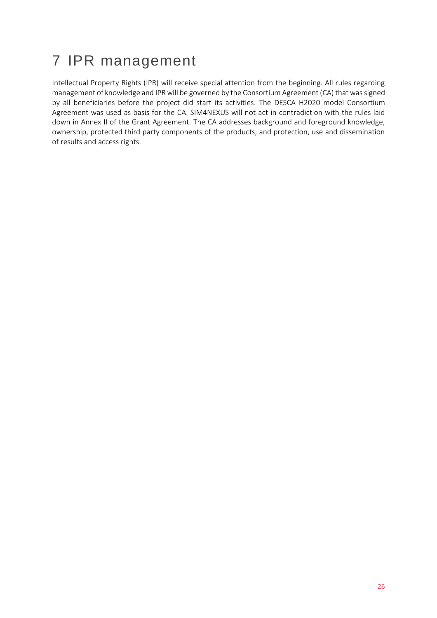## <span id="page-25-0"></span>7 IPR management

Intellectual Property Rights (IPR) will receive special attention from the beginning. All rules regarding management of knowledge and IPR will be governed by the Consortium Agreement (CA) that was signed by all beneficiaries before the project did start its activities. The DESCA H2020 model Consortium Agreement was used as basis for the CA. SIM4NEXUS will not act in contradiction with the rules laid down in Annex II of the Grant Agreement. The CA addresses background and foreground knowledge, ownership, protected third party components of the products, and protection, use and dissemination of results and access rights.